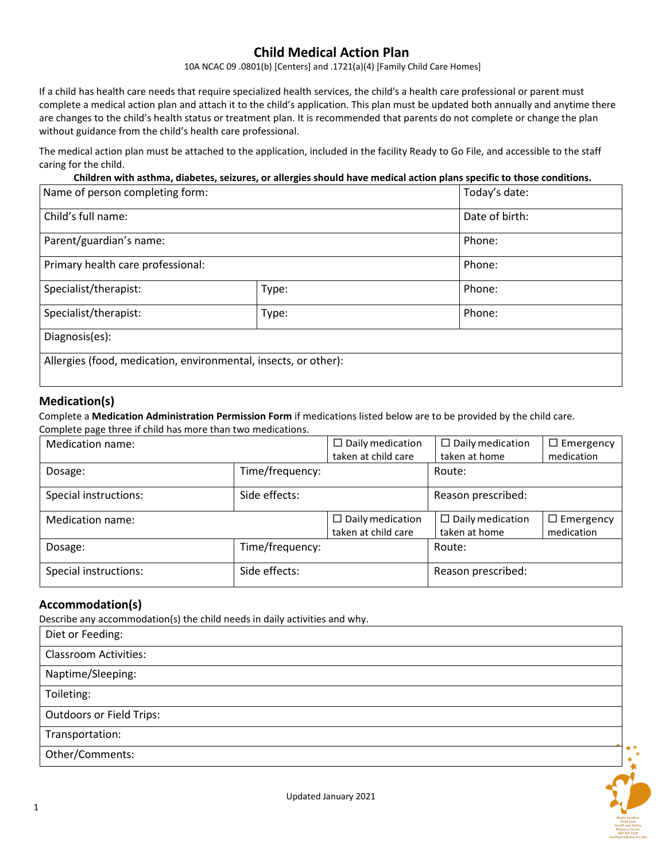## **Child Medical Action Plan**

10A NCAC 09 .0801(b) [Centers] and .1721(a)(4) [Family Child Care Homes]

If a child has health care needs that require specialized health services, the child's a health care professional or parent must complete a medical action plan and attach it to the child's application. This plan must be updated both annually and anytime there are changes to the child's health status or treatment plan. It is recommended that parents do not complete or change the plan without guidance from the child's health care professional.

The medical action plan must be attached to the application, included in the facility Ready to Go File, and accessible to the staff caring for the child.

**Children with asthma, diabetes, seizures, or allergies should have medical action plans specific to those conditions.**

| Name of person completing form:                                 |       | Today's date:  |  |
|-----------------------------------------------------------------|-------|----------------|--|
| Child's full name:                                              |       | Date of birth: |  |
| Parent/guardian's name:<br>Primary health care professional:    |       | Phone:         |  |
|                                                                 |       | Phone:         |  |
| Specialist/therapist:                                           | Type: | Phone:         |  |
| Specialist/therapist:                                           | Type: | Phone:         |  |
| Diagnosis(es):                                                  |       |                |  |
| Allergies (food, medication, environmental, insects, or other): |       |                |  |

### **Medication(s)**

Complete a **Medication Administration Permission Form** if medications listed below are to be provided by the child care.

Complete page three if child has more than two medications.

| Medication name:      |                 | $\Box$ Daily medication<br>taken at child care | $\Box$ Daily medication<br>taken at home | $\Box$ Emergency<br>medication |
|-----------------------|-----------------|------------------------------------------------|------------------------------------------|--------------------------------|
| Dosage:               | Time/frequency: |                                                | Route:                                   |                                |
| Special instructions: | Side effects:   |                                                | Reason prescribed:                       |                                |
| Medication name:      |                 | $\Box$ Daily medication                        | $\Box$ Daily medication                  | $\Box$ Emergency               |
|                       |                 | taken at child care                            | taken at home                            | medication                     |
| Dosage:               | Time/frequency: |                                                | Route:                                   |                                |

## **Accommodation(s)**

Describe any accommodation(s) the child needs in daily activities and why.

| Diet or Feeding:                |  |
|---------------------------------|--|
| <b>Classroom Activities:</b>    |  |
| Naptime/Sleeping:               |  |
| Toileting:                      |  |
| <b>Outdoors or Field Trips:</b> |  |
| Transportation:                 |  |
| Other/Comments:                 |  |
|                                 |  |

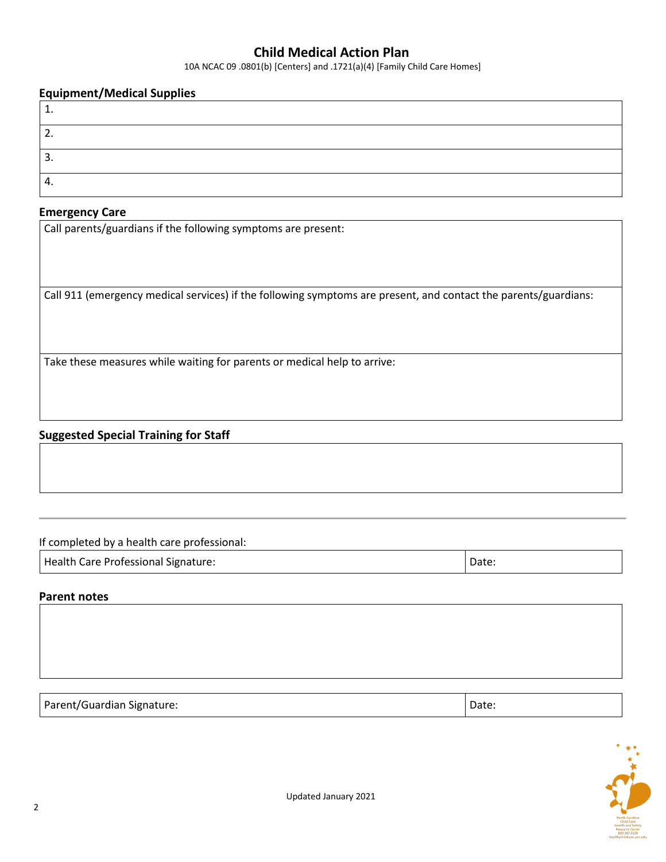## **Child Medical Action Plan**

10A NCAC 09 .0801(b) [Centers] and .1721(a)(4) [Family Child Care Homes]

#### **Equipment/Medical Supplies**

| <u>.</u> |  |
|----------|--|
| ∍<br>.ر  |  |
| ᠇.       |  |

#### **Emergency Care**

Call parents/guardians if the following symptoms are present:

Call 911 (emergency medical services) if the following symptoms are present, and contact the parents/guardians:

Take these measures while waiting for parents or medical help to arrive:

### **Suggested Special Training for Staff**

If completed by a health care professional:

Health Care Professional Signature:  $\vert$  Date:  $\vert$  Date:

#### **Parent notes**

Parent/Guardian Signature:  $\vert$  Date:  $\vert$  Date:  $\vert$